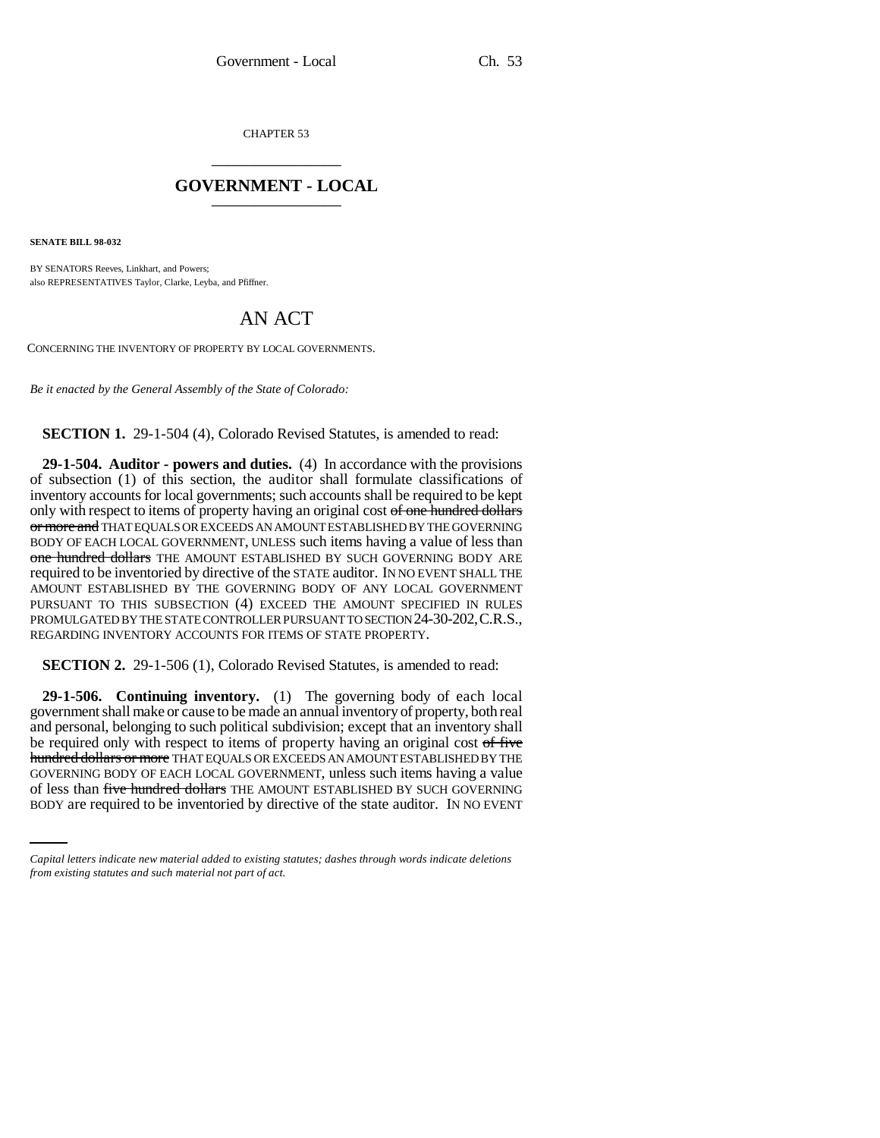CHAPTER 53 \_\_\_\_\_\_\_\_\_\_\_\_\_\_\_

## **GOVERNMENT - LOCAL** \_\_\_\_\_\_\_\_\_\_\_\_\_\_\_

**SENATE BILL 98-032**

BY SENATORS Reeves, Linkhart, and Powers; also REPRESENTATIVES Taylor, Clarke, Leyba, and Pfiffner.

## AN ACT

CONCERNING THE INVENTORY OF PROPERTY BY LOCAL GOVERNMENTS.

*Be it enacted by the General Assembly of the State of Colorado:*

**SECTION 1.** 29-1-504 (4), Colorado Revised Statutes, is amended to read:

**29-1-504. Auditor - powers and duties.** (4) In accordance with the provisions of subsection (1) of this section, the auditor shall formulate classifications of inventory accounts for local governments; such accounts shall be required to be kept only with respect to items of property having an original cost of one hundred dollars or more and THAT EQUALS OR EXCEEDS AN AMOUNT ESTABLISHED BY THE GOVERNING BODY OF EACH LOCAL GOVERNMENT, UNLESS such items having a value of less than one hundred dollars THE AMOUNT ESTABLISHED BY SUCH GOVERNING BODY ARE required to be inventoried by directive of the STATE auditor. IN NO EVENT SHALL THE AMOUNT ESTABLISHED BY THE GOVERNING BODY OF ANY LOCAL GOVERNMENT PURSUANT TO THIS SUBSECTION (4) EXCEED THE AMOUNT SPECIFIED IN RULES PROMULGATED BY THE STATE CONTROLLER PURSUANT TO SECTION 24-30-202,C.R.S., REGARDING INVENTORY ACCOUNTS FOR ITEMS OF STATE PROPERTY.

**SECTION 2.** 29-1-506 (1), Colorado Revised Statutes, is amended to read:

GOVERNING BODY OF EACH LOCAL GOVERNMENT, unless such items having a value **29-1-506. Continuing inventory.** (1) The governing body of each local government shall make or cause to be made an annual inventory of property, both real and personal, belonging to such political subdivision; except that an inventory shall be required only with respect to items of property having an original cost of five hundred dollars or more THAT EQUALS OR EXCEEDS AN AMOUNT ESTABLISHED BY THE of less than five hundred dollars THE AMOUNT ESTABLISHED BY SUCH GOVERNING BODY are required to be inventoried by directive of the state auditor. IN NO EVENT

*Capital letters indicate new material added to existing statutes; dashes through words indicate deletions from existing statutes and such material not part of act.*